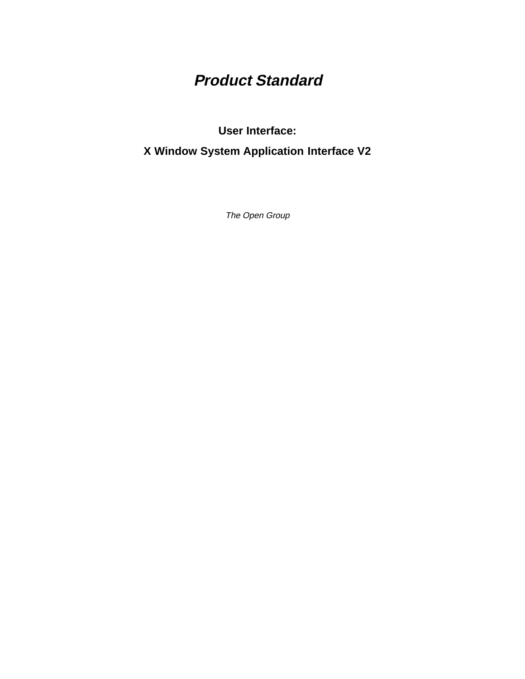# **Product Standard**

**User Interface:**

**X Window System Application Interface V2**

The Open Group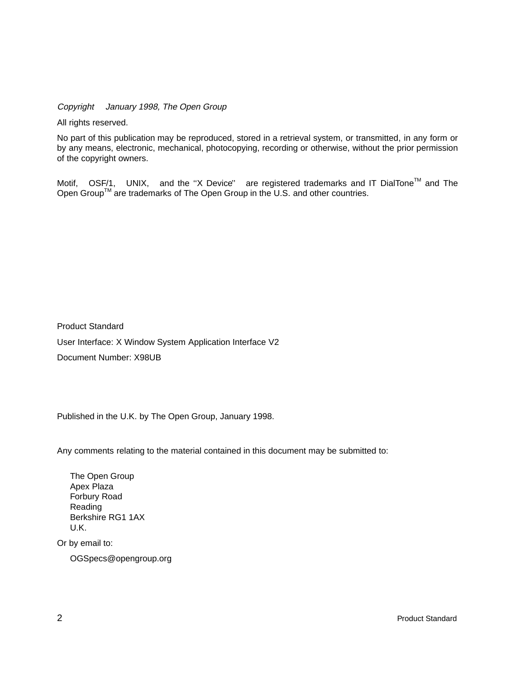Copyright  $\odot$  January 1998, The Open Group

All rights reserved.

No part of this publication may be reproduced, stored in a retrieval system, or transmitted, in any form or by any means, electronic, mechanical, photocopying, recording or otherwise, without the prior permission of the copyright owners.

Motif,  $^{\circledR}$  OSF/1,  $^{\circledR}$  UNIX,  $^{\circledR}$  and the "X Device" $^{\circledR}$  are registered trademarks and IT DialTone<sup>TM</sup> and The Open Group<sup>TM</sup> are trademarks of The Open Group in the U.S. and other countries.

Product Standard User Interface: X Window System Application Interface V2 Document Number: X98UB

Published in the U.K. by The Open Group, January 1998.

Any comments relating to the material contained in this document may be submitted to:

The Open Group Apex Plaza Forbury Road Reading Berkshire RG1 1AX U.K.

Or by email to:

OGSpecs@opengroup.org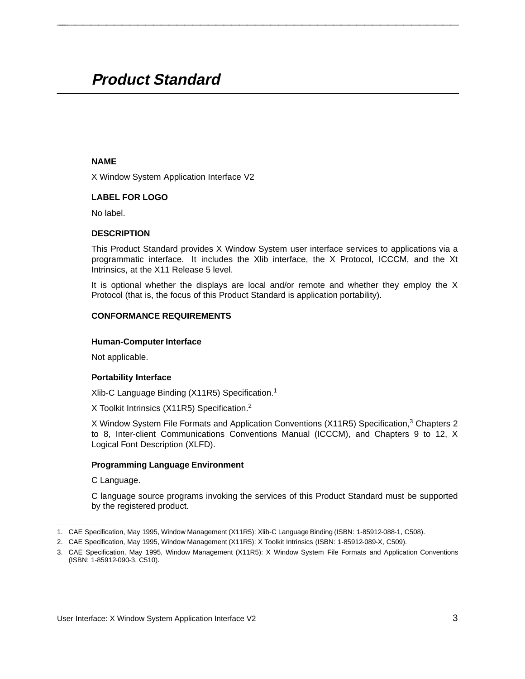# **Product Standard \_\_\_\_\_\_\_\_\_\_\_\_\_\_\_\_\_\_\_\_\_\_\_\_\_\_\_\_\_\_\_\_\_\_\_\_\_\_\_\_\_\_\_\_\_\_\_\_\_\_\_\_**

#### **NAME**

X Window System Application Interface V2

# **LABEL FOR LOGO**

No label.

# **DESCRIPTION**

This Product Standard provides X Window System user interface services to applications via a programmatic interface. It includes the Xlib interface, the X Protocol, ICCCM, and the Xt Intrinsics, at the X11 Release 5 level.

**\_\_\_\_\_\_\_\_\_\_\_\_\_\_\_\_\_\_\_\_\_\_\_\_\_\_\_\_\_\_\_\_\_\_\_\_\_\_\_\_\_\_\_\_\_\_\_\_\_\_\_\_**

It is optional whether the displays are local and/or remote and whether they employ the X Protocol (that is, the focus of this Product Standard is application portability).

# **CONFORMANCE REQUIREMENTS**

#### **Human-Computer Interface**

Not applicable.

# **Portability Interface**

Xlib-C Language Binding (X11R5) Specification.1

X Toolkit Intrinsics (X11R5) Specification.2

X Window System File Formats and Application Conventions (X11R5) Specification,<sup>3</sup> Chapters 2 to 8, Inter-client Communications Conventions Manual (ICCCM), and Chapters 9 to 12, X Logical Font Description (XLFD).

# **Programming Language Environment**

C Language.

 $\mathcal{L}$  and  $\mathcal{L}$  are the set of the set of the set of the set of the set of the set of the set of the set of the set of the set of the set of the set of the set of the set of the set of the set of the set of the set

C language source programs invoking the services of this Product Standard must be supported by the registered product.

<sup>1.</sup> CAE Specification, May 1995, Window Management (X11R5): Xlib-C Language Binding (ISBN: 1-85912-088-1, C508).

<sup>2.</sup> CAE Specification, May 1995, Window Management (X11R5): X Toolkit Intrinsics (ISBN: 1-85912-089-X, C509).

<sup>3.</sup> CAE Specification, May 1995, Window Management (X11R5): X Window System File Formats and Application Conventions (ISBN: 1-85912-090-3, C510).